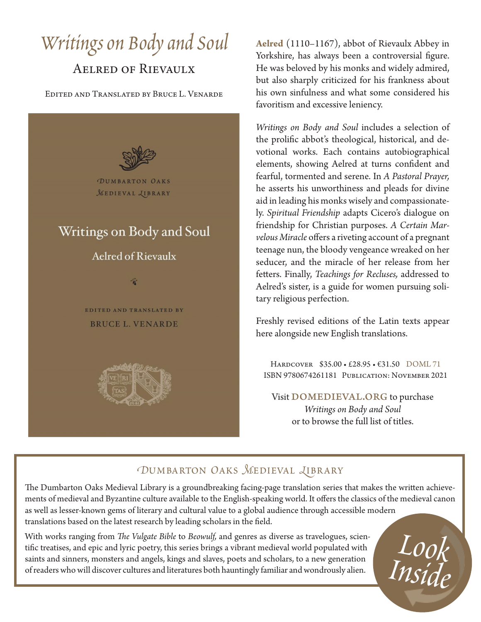# *Writings on Body and Soul*

## Aelred of Rievaulx

Edited and Translated by Bruce L. Venarde



**Aelred** (1110–1167), abbot of Rievaulx Abbey in Yorkshire, has always been a controversial figure. He was beloved by his monks and widely admired, but also sharply criticized for his frankness about his own sinfulness and what some considered his favoritism and excessive leniency.

*Writings on Body and Soul* includes a selection of the prolific abbot's theological, historical, and devotional works. Each contains autobiographical elements, showing Aelred at turns confident and fearful, tormented and serene. In *A Pastoral Prayer,* he asserts his unworthiness and pleads for divine aid in leading his monks wisely and compassionately. *Spiritual Friendship* adapts Cicero's dialogue on friendship for Christian purposes. *A Certain Marvelous Miracle* offers a riveting account of a pregnant teenage nun, the bloody vengeance wreaked on her seducer, and the miracle of her release from her fetters. Finally, *Teachings for Recluses,* addressed to Aelred's sister, is a guide for women pursuing solitary religious perfection.

Freshly revised editions of the Latin texts appear here alongside new English translations.

Hardcover \$35.00 • £28.95 • €31.50 DOML 71 ISBN 9780674261181 Publication: November 2021

Visit DOMEDIEVAL.ORG to purchase *Writings on Body and Soul* or to browse the full list of titles.

## *DUMBARTON OAKS MEDIEVAL LIBRARY*

The Dumbarton Oaks Medieval Library is a groundbreaking facing-page translation series that makes the written achievements of medieval and Byzantine culture available to the English-speaking world. It offers the classics of the medieval canon as well as lesser-known gems of literary and cultural value to a global audience through accessible modern translations based on the latest research by leading scholars in the field.

With works ranging from *The Vulgate Bible* to *Beowulf,* and genres as diverse as travelogues, scientific treatises, and epic and lyric poetry, this series brings a vibrant medieval world populated with saints and sinners, monsters and angels, kings and slaves, poets and scholars, to a new generation of readers who will discover cultures and literatures both hauntingly familiar and wondrously alien.

*Look Inside*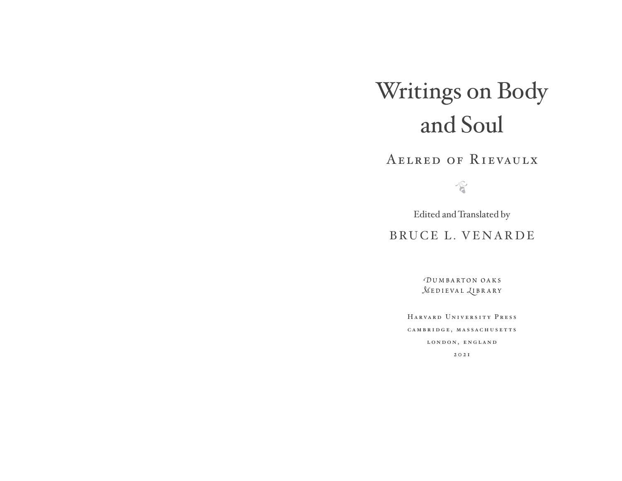## Writings on Body and Soul

AelredofRievaulx

 $\sqrt{6}$ 

Edited and Translated by

BRUCE L. VENARDE

*D*umbarton oaks*M***EDIEVAL** *<u>LIBRARY</u>* 

HarvardUniversityPress c a m b r i d g e , m a s s a c h u s e t t s LONDON, ENGLAND 2021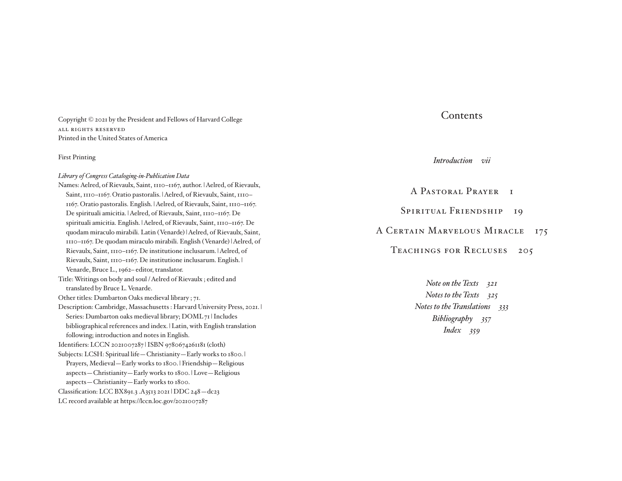Copyright © 2021 by the President and Fellows of Harvard College ALL RIGHTS RESERVED Printed in the United States of America

#### First Printing

#### *Library of Congress Cataloging- in- Publication Data*

Names: Aelred, of Rievaulx, Saint, 1110–1167, author. | Aelred, of Rievaulx, Saint, 1110–1167. Oratio pastoralis. | Aelred, of Rievaulx, Saint, 1110– 1167. Oratio pastoralis. English. | Aelred, of Rievaulx, Saint, 1110–1167. De spirituali amicitia. | Aelred, of Rievaulx, Saint, 1110–1167. De spirituali amicitia. English. | Aelred, of Rievaulx, Saint, 1110–1167. De quodam miraculo mirabili. Latin ( Venarde) | Aelred, of Rievaulx, Saint, 1110–1167. De quodam miraculo mirabili. English ( Venarde) | Aelred, of Rievaulx, Saint, 1110–1167. De institutione inclusarum. | Aelred, of Rievaulx, Saint, 1110–1167. De institutione inclusarum. English. | Venarde, Bruce L., 1962– editor, translator.

- Title: Writings on body and soul / Aelred of Rievaulx ; edited and translated by Bruce L. Venarde.
- Other titles: Dumbarton Oaks medieval library ; 71.
- Description: Cambridge, Massachusetts : Harvard University Press, 2021. | Series: Dumbarton oaks medieval library; DOML 71 | Includes bibliographical references and index. | Latin, with English translation following; introduction and notes in English.

Identifiers: LCCN 2021007287 | ISBN 9780674261181 (cloth)

- Subjects: LCSH: Spiritual life—Christianity—Early works to 1800. | Prayers, Medieval—Early works to 1800. | Friendship—Religious aspects—Christianity—Early works to 1800. | Love—Religious aspects—Christianity—Early works to 1800.
- Classification: LCC BX891.3 .A3513 2021 | DDC 248—dc23
- LC record available at https://lccn.loc.gov/2021007287

#### **Contents**

*Introduction-vii*

A PASTORAL PRAYER I SPIRITUAL FRIENDSHIP 19

A CERTAIN MARVELOUS MIRACLE 175

TEACHINGS FOR RECLUSES 205

*Note on the Texts-321 Notes to the Texts-325 Notes to the Translations-333 Bibliography-357 Index-359*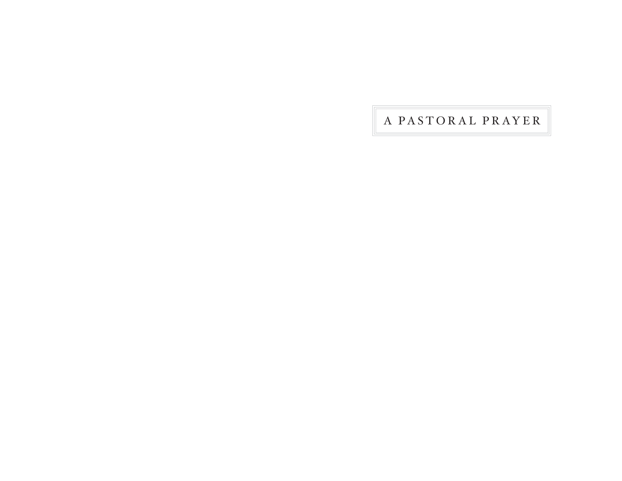A PASTORAL PRAYER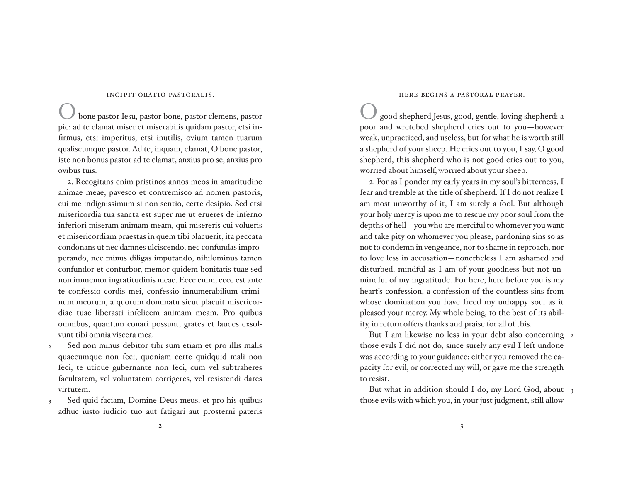#### INCIPIT ORATIO PASTORALIS.

bone pastor Iesu, pastor bone, pastor clemens, pastor pie: ad te clamat miser et miserabilis quidam pastor, etsi infirmus, etsi imperitus, etsi inutilis, ovium tamen tuarum qualis cum que pastor. Ad te, inquam, clamat, O bone pastor, iste non bonus pastor ad te clamat, anxius pro se, anxius pro ovibus tuis.

 2. Recogitans enim pristinos annos meos in amaritudine animae meae, pavesco et contremisco ad nomen pastoris, cui me indignissimum si non sentio, certe desipio. Sed etsi misericordia tua sancta est super me ut erueres de inferno inferiori miseram animam meam, qui misereris cui volueris et misericordiam praestas in quem tibi placuerit, ita peccata condonans ut nec damnes ulciscendo, nec confundas improperando, nec minus diligas imputando, nihilominus tamen confundor et conturbor, memor quidem bonitatis tuae sed non immemor ingratitudinis meae. Ecce enim, ecce est ante te confessio cordis mei, confessio innumerabilium criminum meorum, a quorum dominatu sicut placuit misericordiae tuae liberasti infelicem animam meam. Pro quibus omnibus, quantum conari possunt, grates et laudes exsolvunt tibi omnia viscera mea.

- Sed non minus debitor tibi sum etiam et pro illis malis quaecum que non feci, quoniam certe quidquid mali non feci, te utique gubernante non feci, cum vel subtraheres facultatem, vel voluntatem corrigeres, vel resistendi dares virtutem.  $\overline{\phantom{0}}$
- Sed quid faciam, Domine Deus meus, et pro his quibus adhuc iusto iudicio tuo aut fatigari aut prosterni pateris 3

#### HERE BEGINS A PASTORAL PRAYER.

good shepherd Jesus, good, gentle, loving shepherd: a poor and wretched shepherd cries out to you—however weak, unpracticed, and useless, but for what he is worth still a shepherd of your sheep. He cries out to you, I say, O good shepherd, this shepherd who is not good cries out to you, worried about himself, worried about your sheep.

 2. For as I ponder my early years in my soul's bitterness, I fear and tremble at the title of shepherd. If I do not realize I am most unworthy of it, I am surely a fool. But although your holy mercy is upon me to rescue my poor soul from the depths of hell—you who are merciful to whomever you want and take pity on whomever you please, pardoning sins so as not to condemn in vengeance, nor to shame in reproach, nor to love less in accusation—nonetheless I am ashamed and disturbed, mindful as I am of your goodness but not unmindful of my ingratitude. For here, here before you is my heart's confession, a confession of the countless sins from whose domination you have freed my unhappy soul as it pleased your mercy. My whole being, to the best of its ability, in return offers thanks and praise for all of this.

But I am likewise no less in your debt also concerning 2 those evils I did not do, since surely any evil I left undone was according to your guidance: either you removed the capacity for evil, or corrected my will, or gave me the strength to resist.

But what in addition should I do, my Lord God, about 3 those evils with which you, in your just judgment, still allow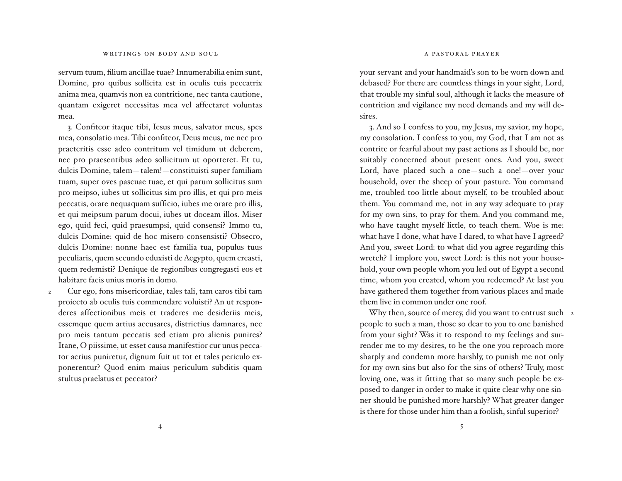servum tuum, filium ancillae tuae? Innumerabilia enim sunt, Domine, pro quibus sollicita est in oculis tuis peccatrix anima mea, quamvis non ea contritione, nec tanta cautione, quantam exigeret necessitas mea vel affectaret voluntas mea.

3. Confiteor itaque tibi, Iesus meus, salvator meus, spes mea, consolatio mea. Tibi confiteor, Deus meus, me nec pro praeteritis esse adeo contritum vel timidum ut deberem, nec pro praesentibus adeo sollicitum ut oporteret. Et tu, dulcis Domine, talem-talem!-constituisti super familiam tuam, super oves pascuae tuae, et qui parum sollicitus sum pro meipso, iubes ut sollicitus sim pro illis, et qui pro meis peccatis, orare nequaquam sufficio, iubes me orare pro illis, et qui meipsum parum docui, iubes ut doceam illos. Miser ego, quid feci, quid praesumpsi, quid consensi? Immo tu, dulcis Domine: quid de hoc misero consensisti? Obsecro, dulcis Domine: nonne haec est familia tua, populus tuus peculiaris, quem secundo eduxisti de Aegypto, quem creasti, quem redemisti? Denique de regionibus congregasti eos et habitare facis unius moris in domo.

 Cur ego, fons misericordiae, tales tali, tam caros tibi tam proiecto ab oculis tuis commendare voluisti? An ut responderes affectionibus meis et traderes me desideriis meis, essemque quem artius accusares, districtius damnares, nec pro meis tantum peccatis sed etiam pro alienis punires? Itane, O piissime, ut esset causa manifestior cur unus peccator acrius puniretur, dignum fuit ut tot et tales periculo exponerentur? Quod enim maius periculum subditis quam stultus praelatus et peccator? 2

your servant and your handmaid's son to be worn down and debased? For there are countless things in your sight, Lord, that trouble my sinful soul, although it lacks the measure of contrition and vigilance my need demands and my will desires.

 3. And so I confess to you, my Jesus, my savior, my hope, my consolation. I confess to you, my God, that I am not as contrite or fearful about my past actions as I should be, nor suitably concerned about present ones. And you, sweet Lord, have placed such a one—such a one!—over your household, over the sheep of your pasture. You command me, troubled too little about myself, to be troubled about them. You command me, not in any way adequate to pray for my own sins, to pray for them. And you command me, who have taught myself little, to teach them. Woe is me: what have I done, what have I dared, to what have I agreed? And you, sweet Lord: to what did you agree regarding this wretch? I implore you, sweet Lord: is this not your household, your own people whom you led out of Egypt a second time, whom you created, whom you redeemed? At last you have gathered them together from various places and made them live in common under one roof.

Why then, source of mercy, did you want to entrust such 2 people to such a man, those so dear to you to one banished from your sight? Was it to respond to my feelings and surrender me to my desires, to be the one you reproach more sharply and condemn more harshly, to punish me not only for my own sins but also for the sins of others? Truly, most loving one, was it fitting that so many such people be exposed to danger in order to make it quite clear why one sinner should be punished more harshly? What greater danger is there for those under him than a foolish, sinful superior?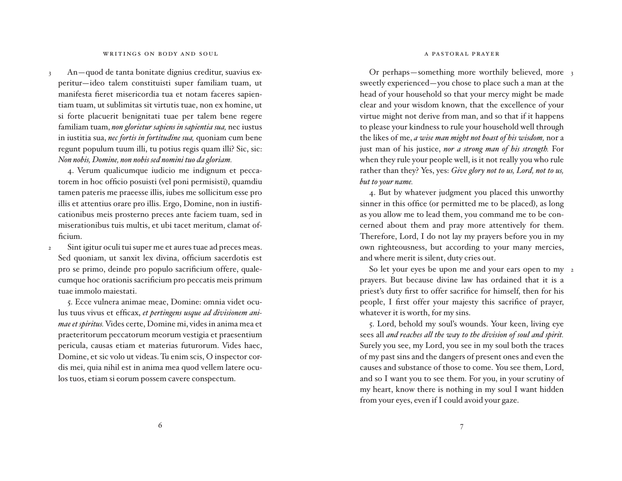#### apastoralprayer

#### WRITINGS ON BODY AND SOUL

An—quod de tanta bonitate dignius creditur, suavius experitur-ideo talem constituisti super familiam tuam, ut manifesta fieret misericordia tua et notam faceres sapientiam tuam, ut sublimitas sit virtutis tuae, non ex homine, ut si forte placuerit benignitati tuae per talem bene regere familiam tuam, non glorietur sapiens in sapientia sua, nec iustus in iustitia sua, *nec fortis in fortitudine sua,* quoniam cum bene regunt populum tuum illi, tu potius regis quam illi? Sic, sic: *Non nobis, Domine, non nobis sed nomini tuo da gloriam.* 3

4. Verum qualicumque iudicio me indignum et peccatorem in hoc officio posuisti (vel poni permisisti), quamdiu ta men pateris me praeesse illis, iubes me sollicitum esse pro illis et attentius orare pro illis. Ergo, Domine, non in iustificationibus meis prosterno preces ante faciem tuam, sed in miserationibus tuis multis, et ubi tacet meritum, clamat officium.

Sint igitur oculi tui super me et aures tuae ad preces meas. Sed quoniam, ut sanxit lex divina, officium sacerdotis est pro se primo, deinde pro populo sacrificium offere, qualecum que hoc orationis sacrificium pro peccatis meis primum tuae immolo maiestati. 2

 5. Ecce vul nera animae meae, Domine: om nia videt oculus tuus vivus et efficax, et pertingens usque ad divisionem ani*mae et spiritus.* Vides certe, Domine mi, vides in anima mea et prae teritorum peccatorum meorum vestigia et praesentium pericula, causas etiam et materias futurorum. Vides haec, Domine, et sic volo ut videas. Tu enim scis, O inspector cordis mei, quia nihil est in anima mea quod vellem latere oculos tuos, etiam si eorum possem cavere conspectum.

Or perhaps—something more worthily believed, more 3 sweetly experienced—you chose to place such a man at the head of your household so that your mercy might be made clear and your wisdom known, that the excellence of your virtue might not derive from man, and so that if it happens to please your kindness to rule your household well through the likes of me, *a wise man might not boast of his wisdom,* nor a just man of his justice, *nor a strong man of his strength.* For when they rule your people well, is it not really you who rule rather than they? Yes, yes: *Give glory not to us, Lord, not to us, but to your name.*

 4. But by whatever judgment you placed this unworthy sinner in this office (or permitted me to be placed), as long as you allow me to lead them, you command me to be concerned about them and pray more attentively for them. Therefore, Lord, I do not lay my prayers before you in my own righteousness, but according to your many mercies, and where merit is silent, duty cries out.

 So let your eyes be upon me and your ears open to my 2prayers. But because divine law has ordained that it is a priest's duty first to offer sacrifice for himself, then for his people, I first offer your majesty this sacrifice of prayer, whatever it is worth, for my sins.

 5. Lord, behold my soul's wounds. Your keen, living eye sees all *and reaches all the way to the division of soul and spirit.* Surely you see, my Lord, you see in my soul both the traces of my past sins and the dangers of present ones and even the causes and substance of those to come. You see them, Lord, and so I want you to see them. For you, in your scrutiny of my heart, know there is nothing in my soul I want hidden from your eyes, even if I could avoid your gaze.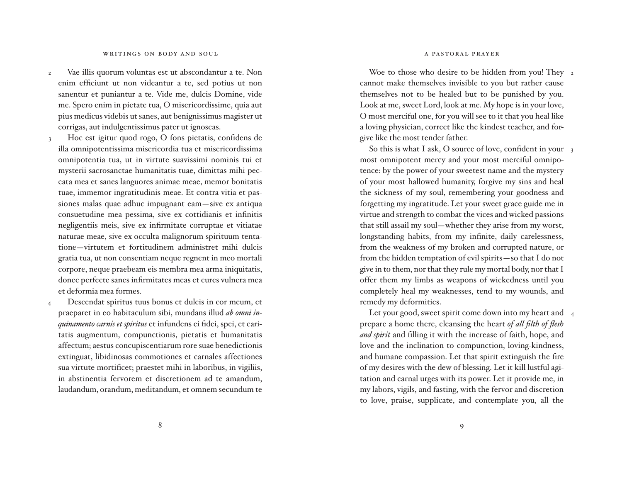#### apastoralprayer

#### WRITINGS ON BODY AND SOUL

Vae illis quorum voluntas est ut abscondantur a te. Non enim efficiunt ut non videantur a te, sed potius ut non sanentur et puniantur a te. Vide me, dulcis Domine, vide me. Spero enim in pietate tua, O misericordissime, quia aut pius medicus videbis ut sanes, aut benignissimus magister ut corrigas, aut indulgentissimus pater ut ignoscas. 2

Hoc est igitur quod rogo, O fons pietatis, confidens de illa omnipotentissima misericordia tua et misericordissima omnipotentia tua, ut in virtute suavissimi nominis tui et mysterii sacrosanctae humanitatis tuae, dimittas mihi peccata mea et sanes languores animae meae, memor bonitatis tuae, immemor ingratitudinis meae. Et contra vitia et passiones malas quae adhuc impugnant eam—sive ex antiqua con sue tu dine mea pessima, sive ex cottidianis et infinitis negligentiis meis, sive ex infirmitate corruptae et vitiatae naturae meae, sive ex occulta malignorum spirituum tentatione—virtutem et fortitudinem administret mihi dulcis gratia tua, ut non consentiam neque regnent in meo mortali corpore, neque praebeam eis membra mea arma iniquitatis, donec perfecte sanes infirmitates meas et cures vulnera mea et deformia mea formes. 3

Descendat spiritus tuus bonus et dulcis in cor meum, et praeparet in eo habitaculum sibi, mundans illud *ab omni inquinamento carnis et spiritus* et infundens ei fidei, spei, et caritatis augmentum, compunctionis, pietatis et humanitatis affectum; aestus concupiscentiarum rore suae benedictionis extinguat, libidinosas commotiones et carnales affectiones sua virtute mortificet; praestet mihi in laboribus, in vigiliis, in abstinentia fervorem et discretionem ad te amandum, laudandum, orandum, meditandum, et omnem secundum te 4

Woe to those who desire to be hidden from you! They 2 cannot make themselves invisible to you but rather cause themselves not to be healed but to be punished by you. Look at me, sweet Lord, look at me. My hope is in your love, O most merciful one, for you will see to it that you heal like a loving physician, correct like the kindest teacher, and forgive like the most tender father.

So this is what I ask, O source of love, confident in your  $_3$ most omnipotent mercy and your most merciful omnipotence: by the power of your sweetest name and the mystery of your most hallowed humanity, forgive my sins and heal the sickness of my soul, remembering your goodness and forgetting my ingratitude. Let your sweet grace guide me in virtue and strength to combat the vices and wicked passions that still assail my soul—whether they arise from my worst, longstanding habits, from my infinite, daily carelessness, from the weakness of my broken and corrupted nature, or from the hidden temptation of evil spirits—so that I do not give in to them, nor that they rule my mortal body, nor that I offer them my limbs as weapons of wickedness until you completely heal my weaknesses, tend to my wounds, and remedy my deformities.

Let your good, sweet spirit come down into my heart and 4 prepare a home there, cleansing the heart *of all filth of flesh*  and spirit and filling it with the increase of faith, hope, and love and the inclination to compunction, loving-kindness, and humane compassion. Let that spirit extinguish the fire of my desires with the dew of blessing. Let it kill lustful agitation and carnal urges with its power. Let it provide me, in my labors, vigils, and fasting, with the fervor and discretion to love, praise, supplicate, and contemplate you, all the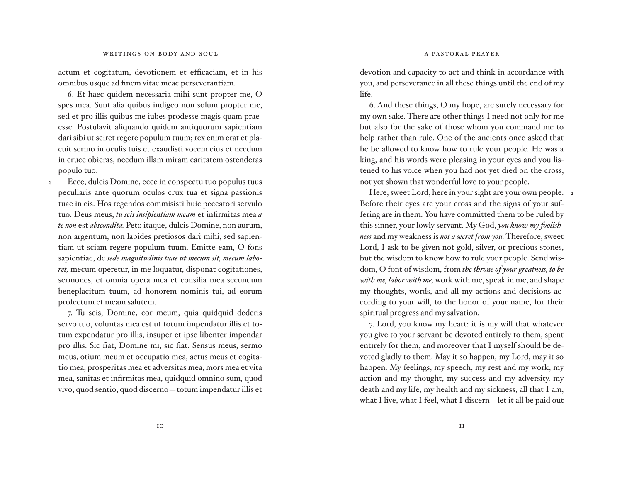actum et cogitatum, devotionem et efficaciam, et in his omnibus us que ad finem vitae meae perseverantiam.

6. Et haec quidem necessaria mihi sunt propter me, O spes mea. Sunt alia quibus indigeo non solum propter me, sed et pro illis quibus me iubes prodesse magis quam praeesse. Postulavit aliquando quidem antiquorum sapientiam dari sibi ut sciret regere populum tuum; rex enim erat et placuit sermo in oculis tuis et exaudisti vocem eius et necdum in cruce obieras, necdum illam miram caritatem ostenderas populo tuo.

Ecce, dulcis Domine, ecce in conspectu tuo populus tuus peculiaris ante quorum oculos crux tua et signa passionis tuae in eis. Hos regendos commisisti huic peccatori servulo tuo. Deus meus, *tu scis insipientiam meam* et infirmitas mea *<sup>a</sup>* te non est *abscondita*. Peto itaque, dulcis Domine, non aurum, non argentum, non lapides pretiosos dari mihi, sed sapientiam ut sciam regere populum tuum. Emitte eam, O fons sapientiae, de sede magnitudinis tuae ut mecum sit, mecum labo*ret*, mecum operetur, in me loquatur, disponat cogitationes, sermones, et omnia opera mea et consilia mea secundum beneplacitum tuum, ad honorem nominis tui, ad eorum profectum et meam salutem. 2

7. Tu scis, Domine, cor meum, quia quidquid dederis servo tuo, voluntas mea est ut totum impendatur illis et totum expendatur pro illis, insuper et ipse libenter impendar pro illis. Sic fiat, Domine mi, sic fiat. Sensus meus, sermo meus, otium meum et occupatio mea, actus meus et cogitatio mea, prosperitas mea et adversitas mea, mors mea et vita mea, sanitas et infirmitas mea, quidquid omnino sum, quod vivo, quod sentio, quod discerno—totum impendatur illis et  devotion and capacity to act and think in accordance with you, and perseverance in all these things until the end of my life.

 6. And these things, O my hope, are surely necessary for my own sake. There are other things I need not only for me but also for the sake of those whom you command me to help rather than rule. One of the ancients once asked that he be allowed to know how to rule your people. He was a king, and his words were pleasing in your eyes and you listened to his voice when you had not yet died on the cross, not yet shown that wonderful love to your people.

Here, sweet Lord, here in your sight are your own people. 2 Before their eyes are your cross and the signs of your suffering are in them. You have committed them to be ruled by this sinner, your lowly servant. My God, *you know my foolishness* and my weakness is *not a secret from you.* Therefore, sweet Lord, I ask to be given not gold, silver, or precious stones, but the wisdom to know how to rule your people. Send wisdom, O font of wisdom, from *the throne of your greatness, to be with me, labor with me,* work with me, speak in me, and shape my thoughts, words, and all my actions and decisions according to your will, to the honor of your name, for their spiritual progress and my salvation.

 7. Lord, you know my heart: it is my will that whatever you give to your servant be devoted entirely to them, spent entirely for them, and moreover that I myself should be devoted gladly to them. May it so happen, my Lord, may it so happen. My feelings, my speech, my rest and my work, my action and my thought, my success and my adversity, my death and my life, my health and my sickness, all that I am, what I live, what I feel, what I discern—let it all be paid out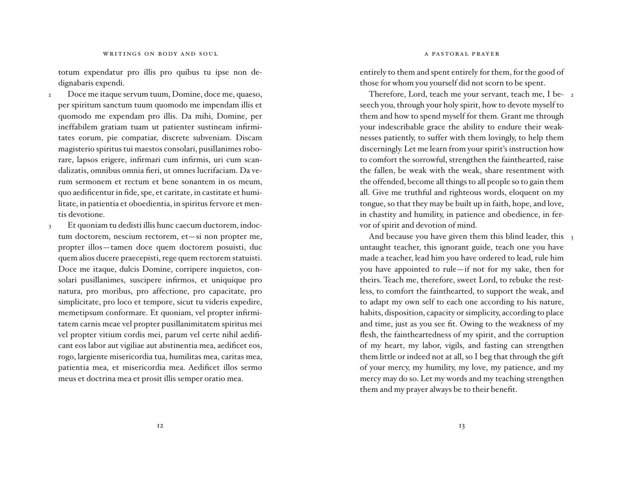totum expendatur pro illis pro quibus tu ipse non dedignabaris expendi.

- Doce me itaque servum tuum, Domine, doce me, quaeso, per spiritum sanctum tuum quomodo me impendam illis et quomodo me expendam pro illis. Da mihi, Domine, per ineffabilem gratiam tuam ut patienter sustineam infirmitates eorum, pie compatiar, discrete subveniam. Discam ma gisterio spiritus tui maestos consolari, pusillanimes roborare, lapsos erigere, infirmari cum infirmis, uri cum scandalizatis, omnibus omnia fieri, ut omnes lucrifaciam. Da verum sermonem et rectum et bene sonantem in os meum, quo aedificentur in fide, spe, et caritate, in castitate et humilitate, in patientia et oboedientia, in spiritus fervore et mentis devotione. 2
- Et quoniam tu dedisti illis hunc caecum ductorem, indoctum doctorem, nescium rectorem, et-si non propter me, propter illos—tamen doce quem doctorem posuisti, duc quem alios ducere praecepisti, rege quem rectorem statuisti. Doce me itaque, dulcis Domine, corripere inquietos, consolari pusillanimes, suscipere infirmos, et uniquique pro natura, pro moribus, pro affectione, pro capacitate, pro simplicitate, pro loco et tempore, sicut tu videris expedire, memetipsum conformare. Et quoniam, vel propter infirmitatem carnis meae vel propter pusillanimitatem spiritus mei vel propter vitium cordis mei, parum vel certe nihil aedificant eos labor aut vigiliae aut abstinentia mea, aedificet eos, rogo, largiente misericordia tua, humilitas mea, caritas mea, patientia mea, et misericordia mea. Aedificet illos sermo meus et doctrina mea et prosit illis semper oratio mea. 3

entirely to them and spent entirely for them, for the good of those for whom you yourself did not scorn to be spent.

 Therefore, Lord, teach me your servant, teach me, I be-2 seech you, through your holy spirit, how to devote myself to them and how to spend myself for them. Grant me through your indescribable grace the ability to endure their weaknesses patiently, to suffer with them lovingly, to help them discerningly. Let me learn from your spirit's instruction how to comfort the sorrowful, strengthen the fainthearted, raise the fallen, be weak with the weak, share resentment with the offended, become all things to all people so to gain them all. Give me truthful and righteous words, eloquent on my tongue, so that they may be built up in faith, hope, and love, in chastity and humility, in patience and obedience, in fervor of spirit and devotion of mind.

And because you have given them this blind leader, this 3 untaught teacher, this ignorant guide, teach one you have made a teacher, lead him you have ordered to lead, rule him you have appointed to rule—if not for my sake, then for theirs. Teach me, therefore, sweet Lord, to rebuke the restless, to comfort the fainthearted, to support the weak, and to adapt my own self to each one according to his nature, habits, disposition, capacity or simplicity, according to place and time, just as you see fit. Owing to the weakness of my flesh, the faintheartedness of my spirit, and the corruption of my heart, my labor, vigils, and fasting can strengthen them little or indeed not at all, so I beg that through the gift of your mercy, my humility, my love, my patience, and my mercy may do so. Let my words and my teaching strengthen them and my prayer always be to their benefit.